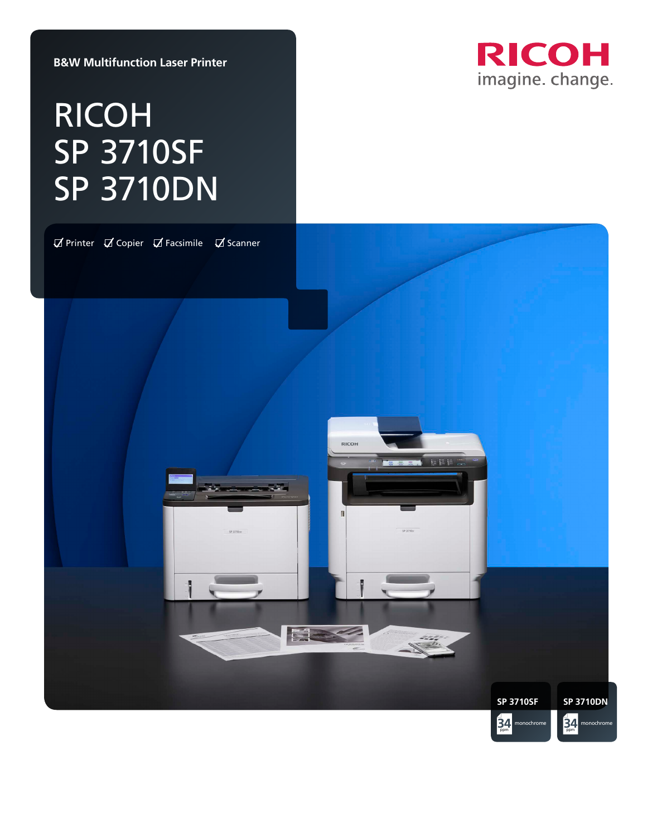**B&W Multifunction Laser Printer**

# RICOH SP 3710SF SP 3710DN



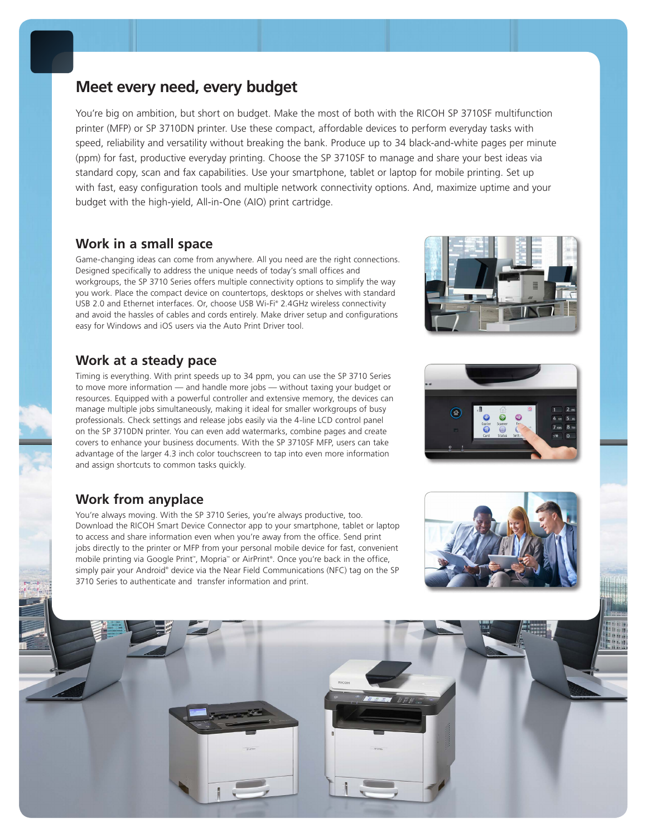### **Meet every need, every budget**

You're big on ambition, but short on budget. Make the most of both with the RICOH SP 3710SF multifunction printer (MFP) or SP 3710DN printer. Use these compact, affordable devices to perform everyday tasks with speed, reliability and versatility without breaking the bank. Produce up to 34 black-and-white pages per minute (ppm) for fast, productive everyday printing. Choose the SP 3710SF to manage and share your best ideas via standard copy, scan and fax capabilities. Use your smartphone, tablet or laptop for mobile printing. Set up with fast, easy configuration tools and multiple network connectivity options. And, maximize uptime and your budget with the high-yield, All-in-One (AIO) print cartridge.

### **Work in a small space**

Game-changing ideas can come from anywhere. All you need are the right connections. Designed specifically to address the unique needs of today's small offices and workgroups, the SP 3710 Series offers multiple connectivity options to simplify the way you work. Place the compact device on countertops, desktops or shelves with standard USB 2.0 and Ethernet interfaces. Or, choose USB Wi-Fi® 2.4GHz wireless connectivity and avoid the hassles of cables and cords entirely. Make driver setup and configurations easy for Windows and iOS users via the Auto Print Driver tool.

### **Work at a steady pace**

Timing is everything. With print speeds up to 34 ppm, you can use the SP 3710 Series to move more information — and handle more jobs — without taxing your budget or resources. Equipped with a powerful controller and extensive memory, the devices can manage multiple jobs simultaneously, making it ideal for smaller workgroups of busy professionals. Check settings and release jobs easily via the 4-line LCD control panel on the SP 3710DN printer. You can even add watermarks, combine pages and create covers to enhance your business documents. With the SP 3710SF MFP, users can take advantage of the larger 4.3 inch color touchscreen to tap into even more information and assign shortcuts to common tasks quickly.

### **Work from anyplace**

You're always moving. With the SP 3710 Series, you're always productive, too. Download the RICOH Smart Device Connector app to your smartphone, tablet or laptop to access and share information even when you're away from the office. Send print jobs directly to the printer or MFP from your personal mobile device for fast, convenient mobile printing via Google Print™, Mopria™ or AirPrint®. Once you're back in the office, simply pair your Android® device via the Near Field Communications (NFC) tag on the SP 3710 Series to authenticate and transfer information and print.





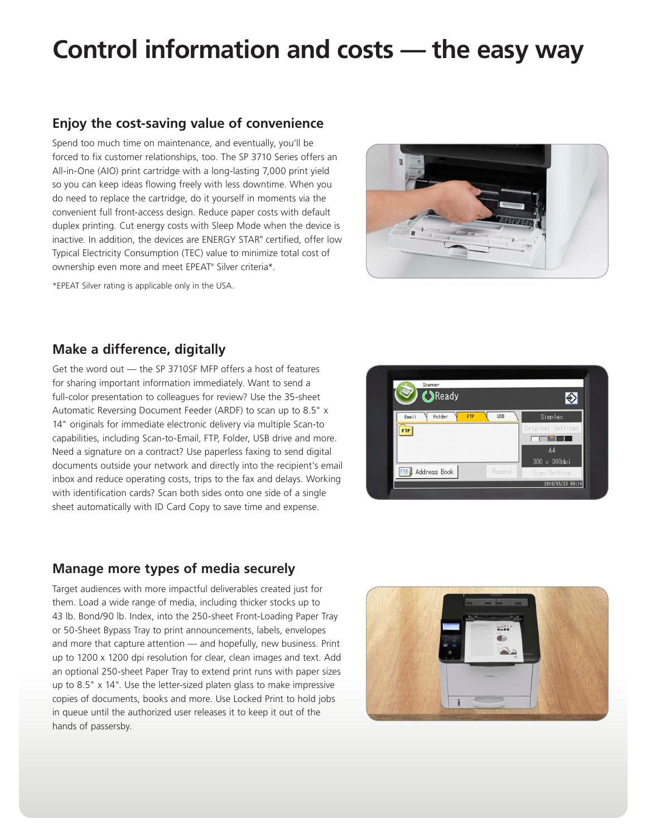## **Control information and costs — the easy way**

### **Enjoy the cost-saving value of convenience**

Spend too much time on maintenance, and eventually, you'll be forced to fix customer relationships, too. The SP 3710 Series offers an All-in-One (AIO) print cartridge with a long-lasting 7,000 print yield so you can keep ideas flowing freely with less downtime. When you do need to replace the cartridge, do it yourself in moments via the convenient full front-access design. Reduce paper costs with default duplex printing. Cut energy costs with Sleep Mode when the device is inactive. In addition, the devices are ENERGY STAR® certified, offer low Typical Electricity Consumption (TEC) value to minimize total cost of ownership even more and meet EPEAT® Silver criteria\*.

\*EPEAT Silver rating is applicable only in the USA.



### **Make a difference, digitally**

Get the word out — the SP 3710SF MFP offers a host of features for sharing important information immediately. Want to send a full-color presentation to colleagues for review? Use the 35-sheet Automatic Reversing Document Feeder (ARDF) to scan up to 8.5" x 14" originals for immediate electronic delivery via multiple Scan-to capabilities, including Scan-to-Email, FTP, Folder, USB drive and more. Need a signature on a contract? Use paperless faxing to send digital documents outside your network and directly into the recipient's email inbox and reduce operating costs, trips to the fax and delays. Working with identification cards? Scan both sides onto one side of a single sheet automatically with ID Card Copy to save time and expense.



### **Manage more types of media securely**

Target audiences with more impactful deliverables created just for them. Load a wide range of media, including thicker stocks up to 43 lb. Bond/90 lb. Index, into the 250-sheet Front-Loading Paper Tray or 50-Sheet Bypass Tray to print announcements, labels, envelopes and more that capture attention — and hopefully, new business. Print up to 1200 x 1200 dpi resolution for clear, clean images and text. Add an optional 250-sheet Paper Tray to extend print runs with paper sizes up to 8.5" x 14". Use the letter-sized platen glass to make impressive copies of documents, books and more. Use Locked Print to hold jobs in queue until the authorized user releases it to keep it out of the hands of passersby.